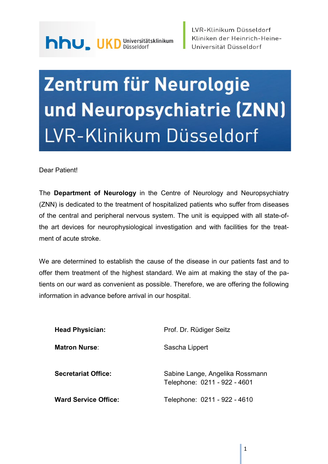# Zentrum für Neurologie und Neuropsychiatrie (ZNN) LVR-Klinikum Düsseldorf

Dear Patient!

The Department of Neurology in the Centre of Neurology and Neuropsychiatry (ZNN) is dedicated to the treatment of hospitalized patients who suffer from diseases of the central and peripheral nervous system. The unit is equipped with all state-ofthe art devices for neurophysiological investigation and with facilities for the treatment of acute stroke.

We are determined to establish the cause of the disease in our patients fast and to offer them treatment of the highest standard. We aim at making the stay of the patients on our ward as convenient as possible. Therefore, we are offering the following information in advance before arrival in our hospital.

| <b>Head Physician:</b>      | Prof. Dr. Rüdiger Seitz                                         |
|-----------------------------|-----------------------------------------------------------------|
| <b>Matron Nurse:</b>        | Sascha Lippert                                                  |
| <b>Secretariat Office:</b>  | Sabine Lange, Angelika Rossmann<br>Telephone: 0211 - 922 - 4601 |
| <b>Ward Service Office:</b> | Telephone: 0211 - 922 - 4610                                    |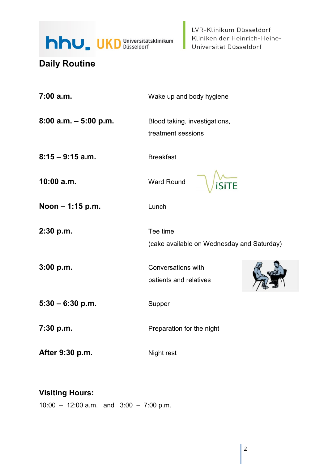

## Daily Routine

| 7:00 a.m.                | Wake up and body hygiene                               |  |
|--------------------------|--------------------------------------------------------|--|
| $8:00$ a.m. $-5:00$ p.m. | Blood taking, investigations,<br>treatment sessions    |  |
| $8:15 - 9:15$ a.m.       | <b>Breakfast</b>                                       |  |
| 10:00 a.m.               | Ward Round<br>ГĒ                                       |  |
| Noon - 1:15 p.m.         | Lunch                                                  |  |
| 2:30 p.m.                | Tee time<br>(cake available on Wednesday and Saturday) |  |
| 3:00 p.m.                | Conversations with<br>patients and relatives           |  |
| $5:30 - 6:30 p.m.$       | Supper                                                 |  |
| 7:30 p.m.                | Preparation for the night                              |  |
| After 9:30 p.m.          | Night rest                                             |  |

## Visiting Hours:

10:00 – 12:00 a.m. and 3:00 – 7:00 p.m.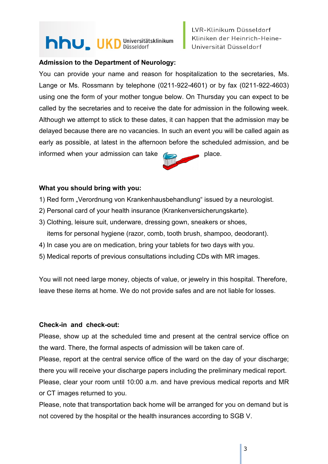## hhu, UKD Universitätsklinikum

### Admission to the Department of Neurology:

You can provide your name and reason for hospitalization to the secretaries, Ms. Lange or Ms. Rossmann by telephone (0211-922-4601) or by fax (0211-922-4603) using one the form of your mother tongue below. On Thursday you can expect to be called by the secretaries and to receive the date for admission in the following week. Although we attempt to stick to these dates, it can happen that the admission may be delayed because there are no vacancies. In such an event you will be called again as early as possible, at latest in the afternoon before the scheduled admission, and be informed when your admission can take  $\sum$  place.

#### What you should bring with you:

- 1) Red form "Verordnung von Krankenhausbehandlung" issued by a neurologist.
- 2) Personal card of your health insurance (Krankenversicherungskarte).
- 3) Clothing, leisure suit, underware, dressing gown, sneakers or shoes, items for personal hygiene (razor, comb, tooth brush, shampoo, deodorant).
- 4) In case you are on medication, bring your tablets for two days with you.
- 5) Medical reports of previous consultations including CDs with MR images.

You will not need large money, objects of value, or jewelry in this hospital. Therefore, leave these items at home. We do not provide safes and are not liable for losses.

#### Check-in and check-out:

Please, show up at the scheduled time and present at the central service office on the ward. There, the formal aspects of admission will be taken care of.

Please, report at the central service office of the ward on the day of your discharge; there you will receive your discharge papers including the preliminary medical report.

Please, clear your room until 10:00 a.m. and have previous medical reports and MR or CT images returned to you.

Please, note that transportation back home will be arranged for you on demand but is not covered by the hospital or the health insurances according to SGB V.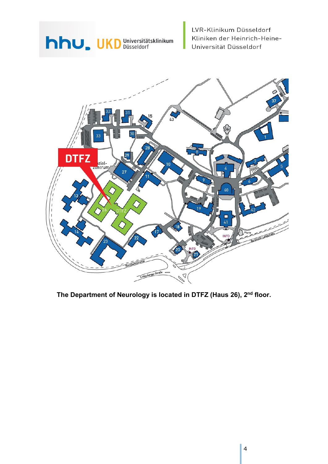## hhu, UKD Universitätsklinikum

LVR-Klinikum Düsseldorf Kliniken der Heinrich-Heine-Universität Düsseldorf



The Department of Neurology is located in DTFZ (Haus 26), 2<sup>nd</sup> floor.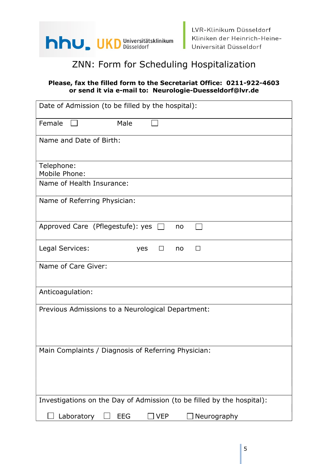

## ZNN: Form for Scheduling Hospitalization

### Please, fax the filled form to the Secretariat Office: 0211-922-4603 or send it via e-mail to: Neurologie-Duesseldorf@lvr.de

| Date of Admission (to be filled by the hospital):                      |  |  |
|------------------------------------------------------------------------|--|--|
| Female<br>Male                                                         |  |  |
| Name and Date of Birth:                                                |  |  |
|                                                                        |  |  |
| Telephone:<br><b>Mobile Phone:</b>                                     |  |  |
| Name of Health Insurance:                                              |  |  |
| Name of Referring Physician:                                           |  |  |
| Approved Care (Pflegestufe): yes $\Box$<br>no                          |  |  |
| Legal Services:<br>yes<br>$\Box$<br>$\Box$<br>no                       |  |  |
| Name of Care Giver:                                                    |  |  |
| Anticoagulation:                                                       |  |  |
| Previous Admissions to a Neurological Department:                      |  |  |
| Main Complaints / Diagnosis of Referring Physician:                    |  |  |
| Investigations on the Day of Admission (to be filled by the hospital): |  |  |
| Laboratory<br><b>EEG</b><br>Neurography<br><b>VEP</b>                  |  |  |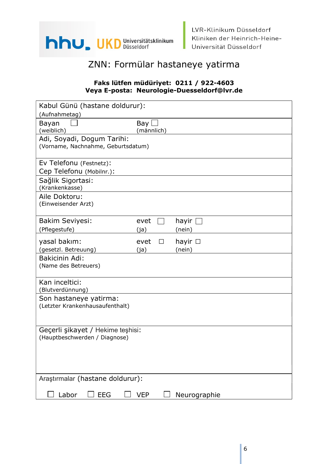

LVR-Klinikum Düsseldorf Kliniken der Heinrich-Heine-Universität Düsseldorf

## ZNN: Formülar hastaneye yatirma

#### Faks lütfen müdüriyet: 0211 / 922-4603 Veya E-posta: Neurologie-Duesseldorf@lvr.de

| Kabul Günü (hastane doldurur):                                     |                             |                        |
|--------------------------------------------------------------------|-----------------------------|------------------------|
| (Aufnahmetag)                                                      |                             |                        |
| Bayan<br>(weiblich)                                                | Bay $\square$<br>(männlich) |                        |
| Adi, Soyadi, Dogum Tarihi:<br>(Vorname, Nachnahme, Geburtsdatum)   |                             |                        |
| Ev Telefonu (Festnetz):<br>Cep Telefonu (Mobilnr.):                |                             |                        |
| Sağlik Sigortasi:<br>(Krankenkasse)                                |                             |                        |
| Aile Doktoru:<br>(Einweisender Arzt)                               |                             |                        |
| <b>Bakim Seviyesi:</b>                                             | evet                        | hayir $\Box$           |
| (Pflegestufe)                                                      | (ja)                        | (nein)                 |
| yasal bakım:<br>(gesetzl. Betreuung)                               | evet<br>$\Box$<br>(ja)      | hayir $\Box$<br>(nein) |
| Bakicinin Adi:<br>(Name des Betreuers)                             |                             |                        |
| Kan inceltici:<br>(Blutverdünnung)                                 |                             |                        |
| Son hastaneye yatirma:<br>(Letzter Krankenhausaufenthalt)          |                             |                        |
| Gecerli şikayet / Hekime teşhisi:<br>(Hauptbeschwerden / Diagnose) |                             |                        |
|                                                                    |                             |                        |
| Araştırmalar (hastane doldurur):                                   |                             |                        |
| Labor<br><b>EEG</b>                                                | <b>VEP</b>                  | Neurographie           |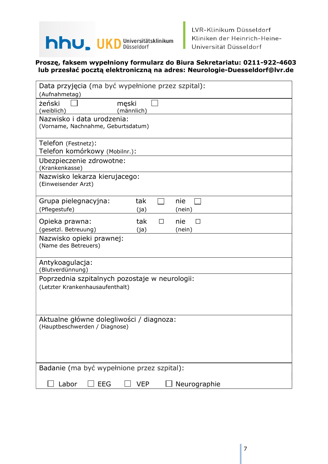

LVR-Klinikum Düsseldorf Kliniken der Heinrich-Heine-Universität Düsseldorf

#### Proszę, faksem wypełniony formularz do Biura Sekretariatu: 0211-922-4603 lub przesłać pocztą elektroniczną na adres: Neurologie-Duesseldorf@lvr.de

| Data przyjęcia (ma być wypełnione przez szpital):                  |
|--------------------------------------------------------------------|
| (Aufnahmetag)                                                      |
| żeński<br>męski<br>(männlich)<br>(weiblich)                        |
| Nazwisko i data urodzenia:                                         |
| (Vorname, Nachnahme, Geburtsdatum)                                 |
|                                                                    |
| Telefon (Festnetz):                                                |
| Telefon komórkowy (Mobilnr.):                                      |
| Ubezpieczenie zdrowotne:                                           |
| (Krankenkasse)                                                     |
| Nazwisko lekarza kierujacego:                                      |
| (Einweisender Arzt)                                                |
| Grupa pielegnacyjna:<br>tak<br>nie                                 |
| (Pflegestufe)<br>(ja)<br>(nein)                                    |
|                                                                    |
| Opieka prawna:<br>tak<br>nie<br>П<br>$\mathsf{L}$                  |
| (gesetzl. Betreuung)<br>(ja)<br>(nein)<br>Nazwisko opieki prawnej: |
| (Name des Betreuers)                                               |
|                                                                    |
| Antykoagulacja:                                                    |
| (Blutverdünnung)                                                   |
| Poprzednia szpitalnych pozostaje w neurologii:                     |
| (Letzter Krankenhausaufenthalt)                                    |
|                                                                    |
|                                                                    |
| Aktualne główne dolegliwości / diagnoza:                           |
| (Hauptbeschwerden / Diagnose)                                      |
|                                                                    |
|                                                                    |
|                                                                    |
|                                                                    |
| Badanie (ma być wypełnione przez szpital):                         |
| Labor<br><b>EEG</b><br>Neurographie<br><b>VEP</b>                  |